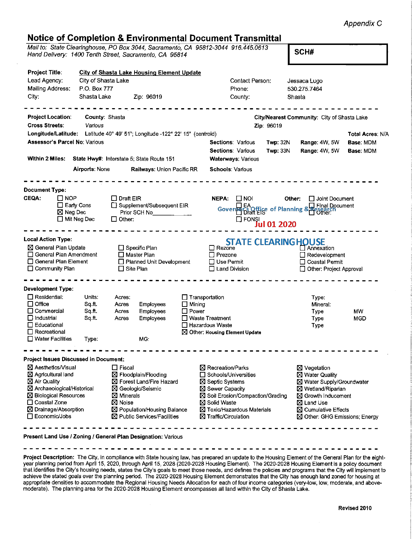Appendix<sub>C</sub>

**SCH#** 

## **Notice of Completion & Environmental Document Transmittal**

|  |                                                        |  | Mail to: State Clearinghouse, PO Box 3044, Sacramento, CA 95812-3044 916.445.0613 |  |
|--|--------------------------------------------------------|--|-----------------------------------------------------------------------------------|--|
|  | Hand Delivery: 1400 Tenth Street, Sacramento, CA 95814 |  |                                                                                   |  |

Project Title: **City of Shasta Lake Housing Element Update**  Lead Agency: City of Shasta Lake Contact Person: **Jessaca Lugo**  Mailing Address: P.O. Box 777 Phone: 530.275.7464 City: Shasta Lake Zip: 96019 County: Shasta **Project Location: County: Shasta City/Nearest Community: City of Shasta Lake Cross Streets: Various Zip:** 96019 **Longitude/Latitude:** Latitude 40° 49' 51°; Longitude-122° 22' 15" (centroid) **Total Acres:** N/A **Assessor's Parcel No: Various Sections: Various Twp: 32N Range: 4W, 5W Base: MDM <b>Range: 4W, 5W Base:** MDM **Sections: Various Twp: 33N Range:** 4W, SW **Base:** MDM **Within 2 Miles: State Hwy#: Interstate 5; State Route 151 Waterways: Various Airports: None Railways: Union Pacific RR Schools: Various Document Type:**  CEQA: □ NOP □ Draft EIR **NEPA:** NOi **other: D Joint Document**  □ Early Cons □ Supplement/Subsequent EIR<br>Prior SCH No EA **Prior SCH No, \_\_\_\_ \_** <sup>D</sup>Draft EIS D Final Document **181** Neg Dec □ Other:  $\Box$  Mit Neg Dec  $\Box$  Other: 01 20 20 **Local Action Type: STATE CLEARING HOUSE**<br> **D Rezone**<br>  $\Box$  **Prezone**<br>  $\Box$  **Redeve 0** General Plan Update □ Specific Plan **D Annexation D General Plan Amendment D Prezone**   $\Box$  Redevelopment □ Master Plan **D General Plan Element**   $\overline{\Box}$  Use Permit  $\Box$  Coastal Permit **D Planned Unit Development**   $\Box$  Community Plan  $\square$  Site Plan **D Land Division**  □ Other: Project Approval **Development Type:**  D Residential: Units: **Acres:**  □ Transportation Type: Acres **Employees** □ Mining **Mineral:**  D Commercial Sq.ft. **Acres Employees**  □ Power **MW**  Type  $\square$  Industrial □ Waste Treatment Type MGD  $\square$  Educational **D Hazardous Waste**  Type **D Recreational [8] Other: Housing Element Update D Water Facilities** Type: MG: **Project Issues Discussed in Document: 2** Aesthetics/Visual D Fiscal<br>**2** Agricultural land **D** Floodr **0** Recreation/Parks **181** Vegetation **0** Water Quality **0** Agricultural land **0** Floodplain/Flooding □ Schools/Universities  $\boxtimes$  Forest Land/Fire Hazard **0** Septic Systems **0** Water Supply/Groundwater **<sup>181</sup>**Archaeological/Historical **0** Geologic/Seismic **181** Sewer Capacity **0** Wetland/Riparian **[8] Biological Resources [8] Minerals [8] Soil Erosion/Compaction/Grading 0** Growth Inducement **1** Coastal Zone **181 181 181 181 181 181 181 181 181 181 181 181 181 181 181 181 181 181 181 181 181 181 181 181 181 181 181 181 181 181 181 181 181 181 0** Solid Waste **0** Land Use **[8] Toxic/Hazardous Materials [8] Drainage/ Absorption [8] Population/Housing Balance 0** Cumulative Effects □ Economic/Jobs **2** Public Services/Facilities **0** TrafficlCirculation **0** Other: GHG Emissions; Energy ---------------------

**Present Land Use/ Zoning/ General Plan Designation: Various** 

**Project Description: The City, in compliance with State housing law, has prepared an update to the Housing Element of the General Plan for the eight**year planning period from Aprll 15, 2020, through April 15, 2028 (2020-2028 Housing Element). The 2020-2028 Housing Element is a policy document **that identifies the City's housing needs, states the City's goals to meet those needs, and defines the policies and programs that the City will Implement to**  achieve the stated goals over the planning period. The 2020-2028 Housing Element demonstrates that the City has enough land zoned for housing at **appropriate densities to accommodate the Regional Housing Needs Allocatlon for each of four income categories (very-low, low, moderate, and abovemoderate). The planning area for the 2020-2028 Housing Element encompasses all land within the City of Shasta Lake.**